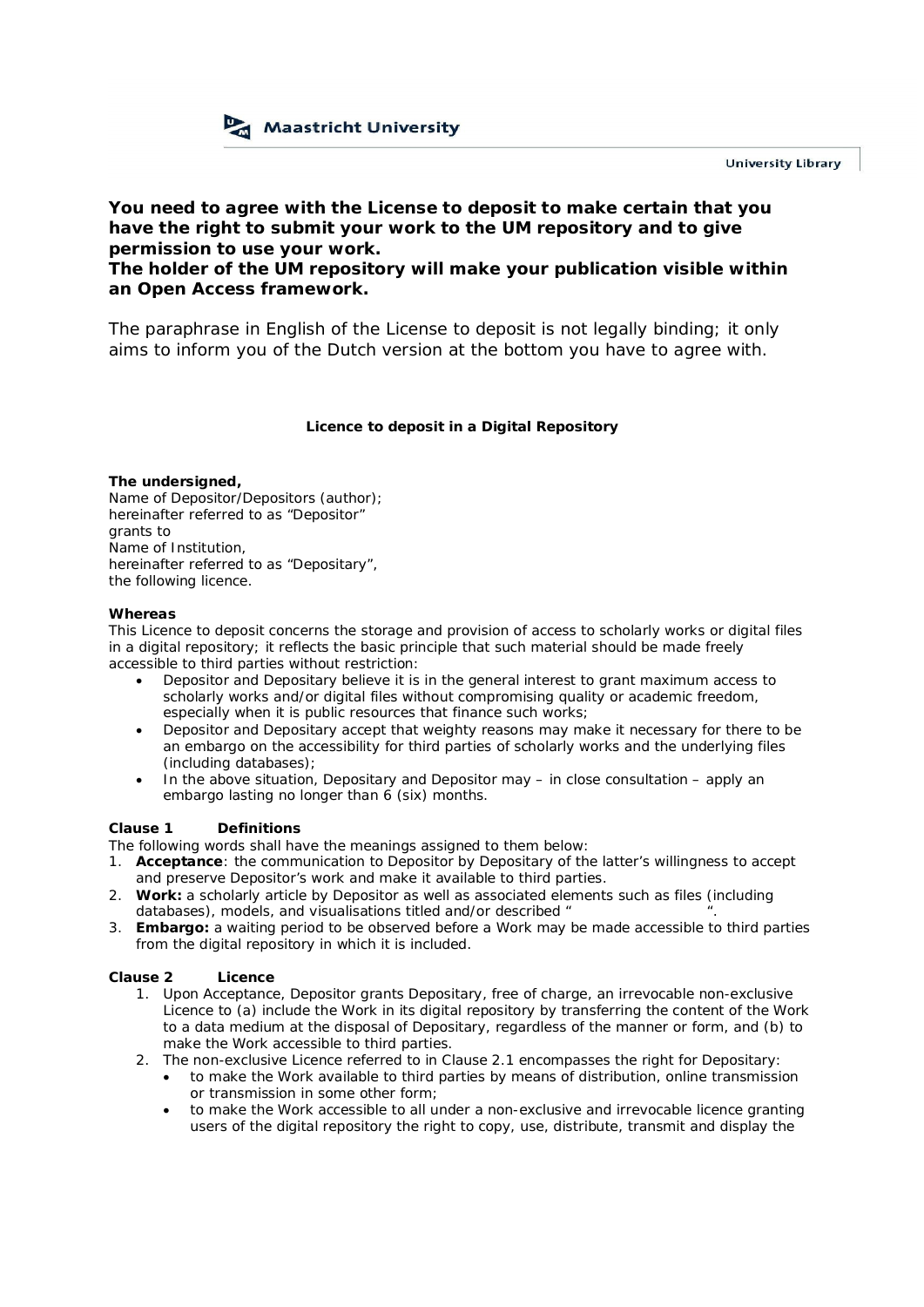

**You need to agree with the License to deposit to make certain that you have the right to submit your work to the UM repository and to give permission to use your work.**

**The holder of the UM repository will make your publication visible within an Open Access framework.**

The paraphrase in English of the License to deposit is not legally binding; it only aims to inform you of the Dutch version at the bottom you have to agree with.

**Licence to deposit in a Digital Repository**

**The undersigned,** Name of Depositor/Depositors (author); hereinafter referred to as "Depositor" grants to Name of Institution, hereinafter referred to as "Depositary", the following licence.

## **Whereas**

This Licence to deposit concerns the storage and provision of access to scholarly works or digital files in a digital repository; it reflects the basic principle that such material should be made freely accessible to third parties without restriction:

- · Depositor and Depositary believe it is in the general interest to grant maximum access to scholarly works and/or digital files without compromising quality or academic freedom, especially when it is public resources that finance such works;
- Depositor and Depositary accept that weighty reasons may make it necessary for there to be an embargo on the accessibility for third parties of scholarly works and the underlying files (including databases);
- · In the above situation, Depositary and Depositor may in close consultation apply an embargo lasting no longer than 6 (six) months.

## **Clause 1 Definitions**

The following words shall have the meanings assigned to them below:

- 1. **Acceptance**: the communication to Depositor by Depositary of the latter's willingness to accept and preserve Depositor's work and make it available to third parties.
- 2. **Work:** a scholarly article by Depositor as well as associated elements such as files (including databases), models, and visualisations titled and/or described " ".
- 3. **Embargo***:* a waiting period to be observed before a Work may be made accessible to third parties from the digital repository in which it is included.

**Clause 2 Licence**

- 1. Upon Acceptance, Depositor grants Depositary, free of charge, an irrevocable non-exclusive Licence to (a) include the Work in its digital repository by transferring the content of the Work to a data medium at the disposal of Depositary, regardless of the manner or form, and (b) to make the Work accessible to third parties.
- 2. The non-exclusive Licence referred to in Clause 2.1 encompasses the right for Depositary:
	- · to make the Work available to third parties by means of distribution, online transmission or transmission in some other form;
	- to make the Work accessible to all under a non-exclusive and irrevocable licence granting users of the digital repository the right to copy, use, distribute, transmit and display the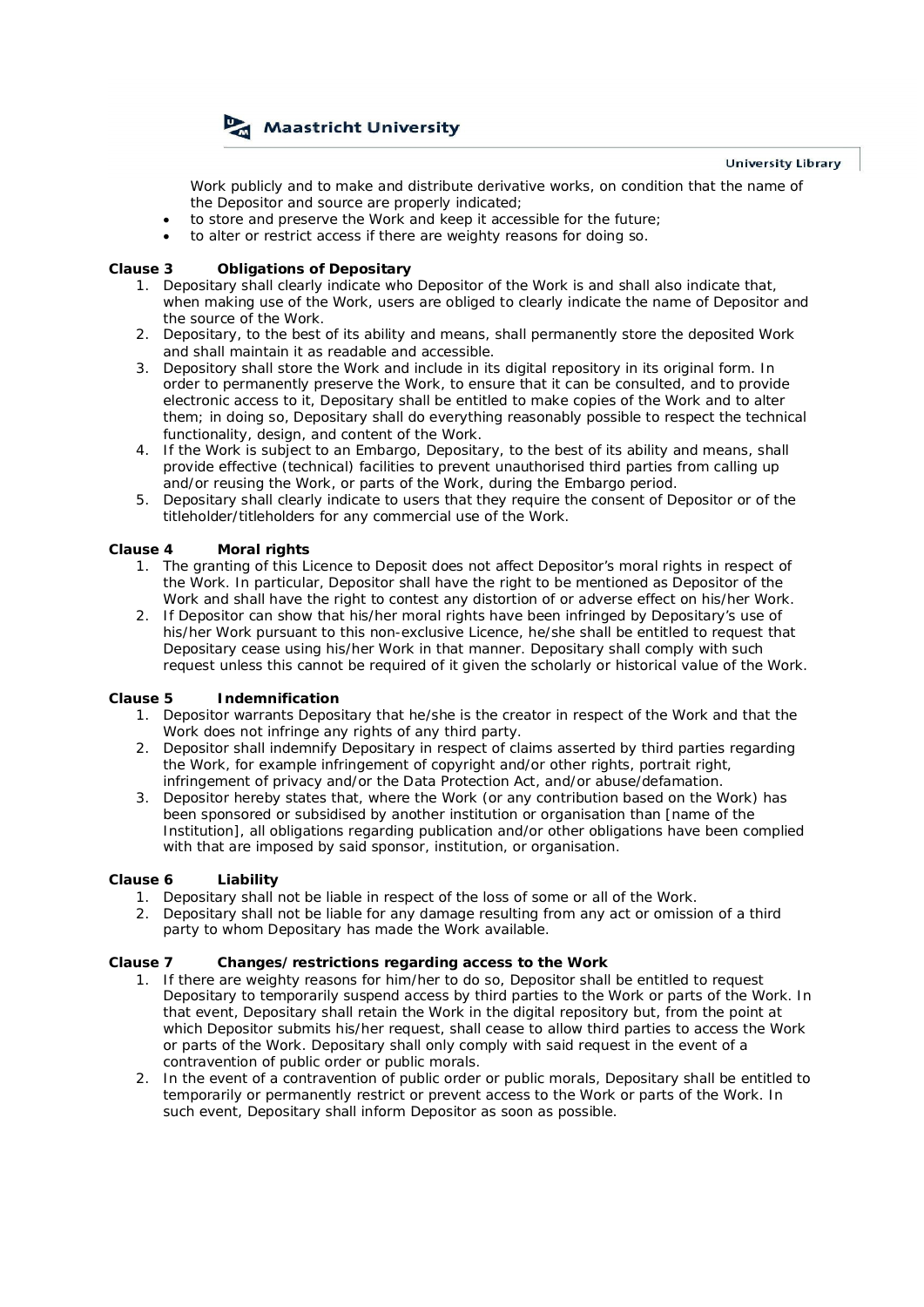

Work publicly and to make and distribute derivative works, on condition that the name of the Depositor and source are properly indicated;

- to store and preserve the Work and keep it accessible for the future;
- · to alter or restrict access if there are weighty reasons for doing so.

### **Clause 3 Obligations of Depositary**

- 1. Depositary shall clearly indicate who Depositor of the Work is and shall also indicate that, when making use of the Work, users are obliged to clearly indicate the name of Depositor and the source of the Work.
- 2. Depositary, to the best of its ability and means, shall permanently store the deposited Work and shall maintain it as readable and accessible.
- 3. Depository shall store the Work and include in its digital repository in its original form. In order to permanently preserve the Work, to ensure that it can be consulted, and to provide electronic access to it, Depositary shall be entitled to make copies of the Work and to alter them; in doing so, Depositary shall do everything reasonably possible to respect the technical functionality, design, and content of the Work.
- 4. If the Work is subject to an Embargo, Depositary, to the best of its ability and means, shall provide effective (technical) facilities to prevent unauthorised third parties from calling up and/or reusing the Work, or parts of the Work, during the Embargo period.
- 5. Depositary shall clearly indicate to users that they require the consent of Depositor or of the titleholder/titleholders for any commercial use of the Work.

### **Clause 4 Moral rights**

- 1. The granting of this Licence to Deposit does not affect Depositor's moral rights in respect of the Work. In particular, Depositor shall have the right to be mentioned as Depositor of the Work and shall have the right to contest any distortion of or adverse effect on his/her Work.
- 2. If Depositor can show that his/her moral rights have been infringed by Depositary's use of his/her Work pursuant to this non-exclusive Licence, he/she shall be entitled to request that Depositary cease using his/her Work in that manner. Depositary shall comply with such request unless this cannot be required of it given the scholarly or historical value of the Work.

#### **Clause 5 Indemnification**

- 1. Depositor warrants Depositary that he/she is the creator in respect of the Work and that the Work does not infringe any rights of any third party.
- 2. Depositor shall indemnify Depositary in respect of claims asserted by third parties regarding the Work, for example infringement of copyright and/or other rights, portrait right, infringement of privacy and/or the Data Protection Act, and/or abuse/defamation.
- 3. Depositor hereby states that, where the Work (or any contribution based on the Work) has been sponsored or subsidised by another institution or organisation than [name of the Institution], all obligations regarding publication and/or other obligations have been complied with that are imposed by said sponsor, institution, or organisation.

## **Clause 6 Liability**

- 1. Depositary shall not be liable in respect of the loss of some or all of the Work.
- 2. Depositary shall not be liable for any damage resulting from any act or omission of a third party to whom Depositary has made the Work available.

#### **Clause 7 Changes/restrictions regarding access to the Work**

- 1. If there are weighty reasons for him/her to do so, Depositor shall be entitled to request Depositary to temporarily suspend access by third parties to the Work or parts of the Work. In that event, Depositary shall retain the Work in the digital repository but, from the point at which Depositor submits his/her request, shall cease to allow third parties to access the Work or parts of the Work. Depositary shall only comply with said request in the event of a contravention of public order or public morals.
- 2. In the event of a contravention of public order or public morals, Depositary shall be entitled to temporarily or permanently restrict or prevent access to the Work or parts of the Work. In such event, Depositary shall inform Depositor as soon as possible.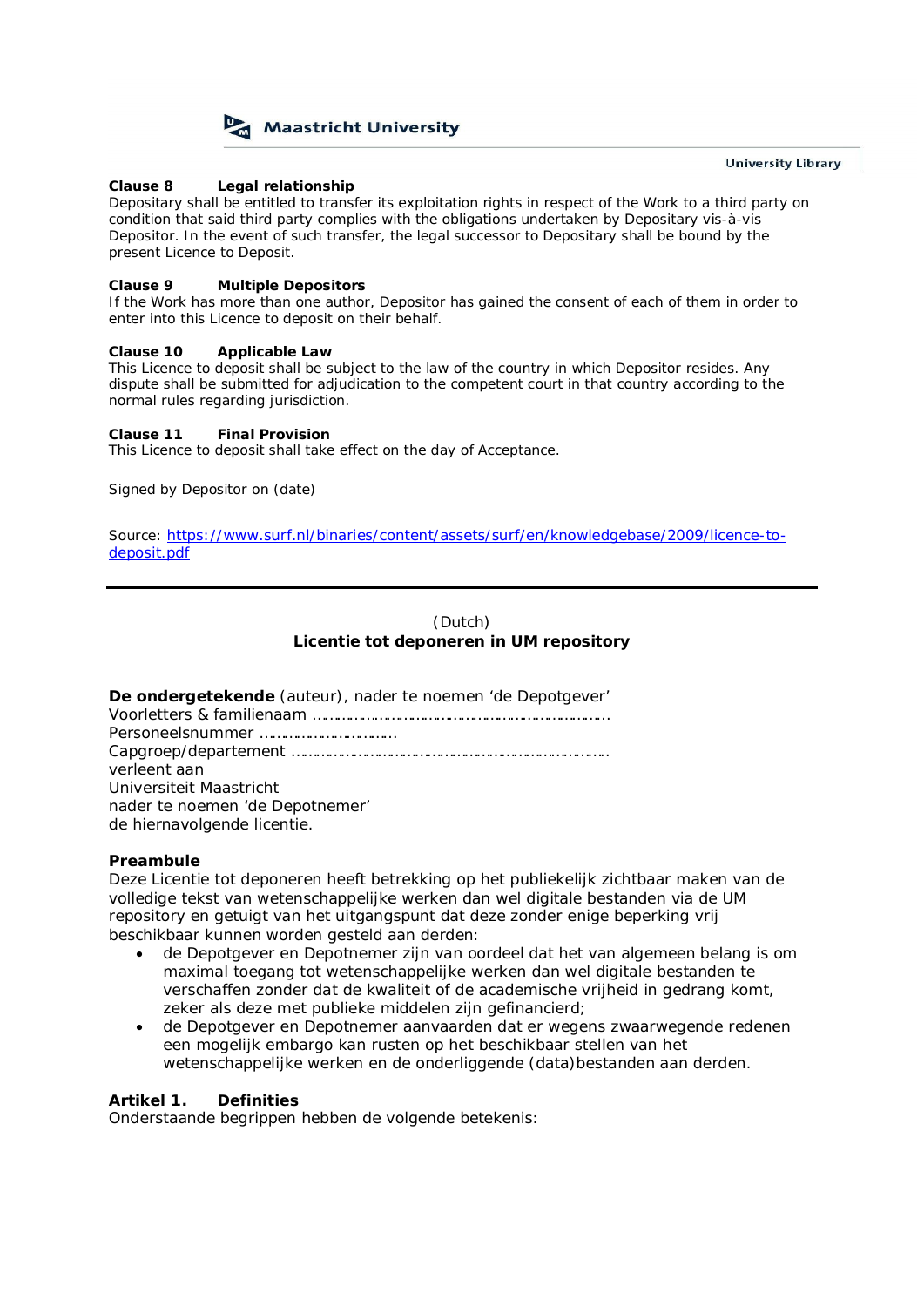

**Clause 8 Legal relationship**

Depositary shall be entitled to transfer its exploitation rights in respect of the Work to a third party on condition that said third party complies with the obligations undertaken by Depositary vis-à-vis Depositor. In the event of such transfer, the legal successor to Depositary shall be bound by the present Licence to Deposit.

**Clause 9 Multiple Depositors**

If the Work has more than one author, Depositor has gained the consent of each of them in order to enter into this Licence to deposit on their behalf.

**Clause 10 Applicable Law**

This Licence to deposit shall be subject to the law of the country in which Depositor resides. Any dispute shall be submitted for adjudication to the competent court in that country according to the normal rules regarding jurisdiction.

**Clause 11 Final Provision** This Licence to deposit shall take effect on the day of Acceptance.

Signed by Depositor on (date)

*Source:* https://www.surf.nl/binaries/content/assets/surf/en/knowledgebase/2009/licence-todeposit.pdf

# *(Dutch)*

**Licentie tot deponeren in UM repository**

| De ondergetekende (auteur), nader te noemen 'de Depotgever' |
|-------------------------------------------------------------|
|                                                             |
|                                                             |
|                                                             |
| verleent aan                                                |
| Universiteit Maastricht                                     |
| nader te noemen 'de Depotnemer'                             |
| de hiernavolgende licentie.                                 |

**Preambule**

Deze Licentie tot deponeren heeft betrekking op het publiekelijk zichtbaar maken van de volledige tekst van wetenschappelijke werken dan wel digitale bestanden via de UM repository en getuigt van het uitgangspunt dat deze zonder enige beperking vrij beschikbaar kunnen worden gesteld aan derden:

- · de Depotgever en Depotnemer zijn van oordeel dat het van algemeen belang is om maximal toegang tot wetenschappelijke werken dan wel digitale bestanden te verschaffen zonder dat de kwaliteit of de academische vrijheid in gedrang komt, zeker als deze met publieke middelen zijn gefinancierd;
- · de Depotgever en Depotnemer aanvaarden dat er wegens zwaarwegende redenen een mogelijk embargo kan rusten op het beschikbaar stellen van het wetenschappelijke werken en de onderliggende (data)bestanden aan derden.

# **Artikel 1. Definities**

Onderstaande begrippen hebben de volgende betekenis: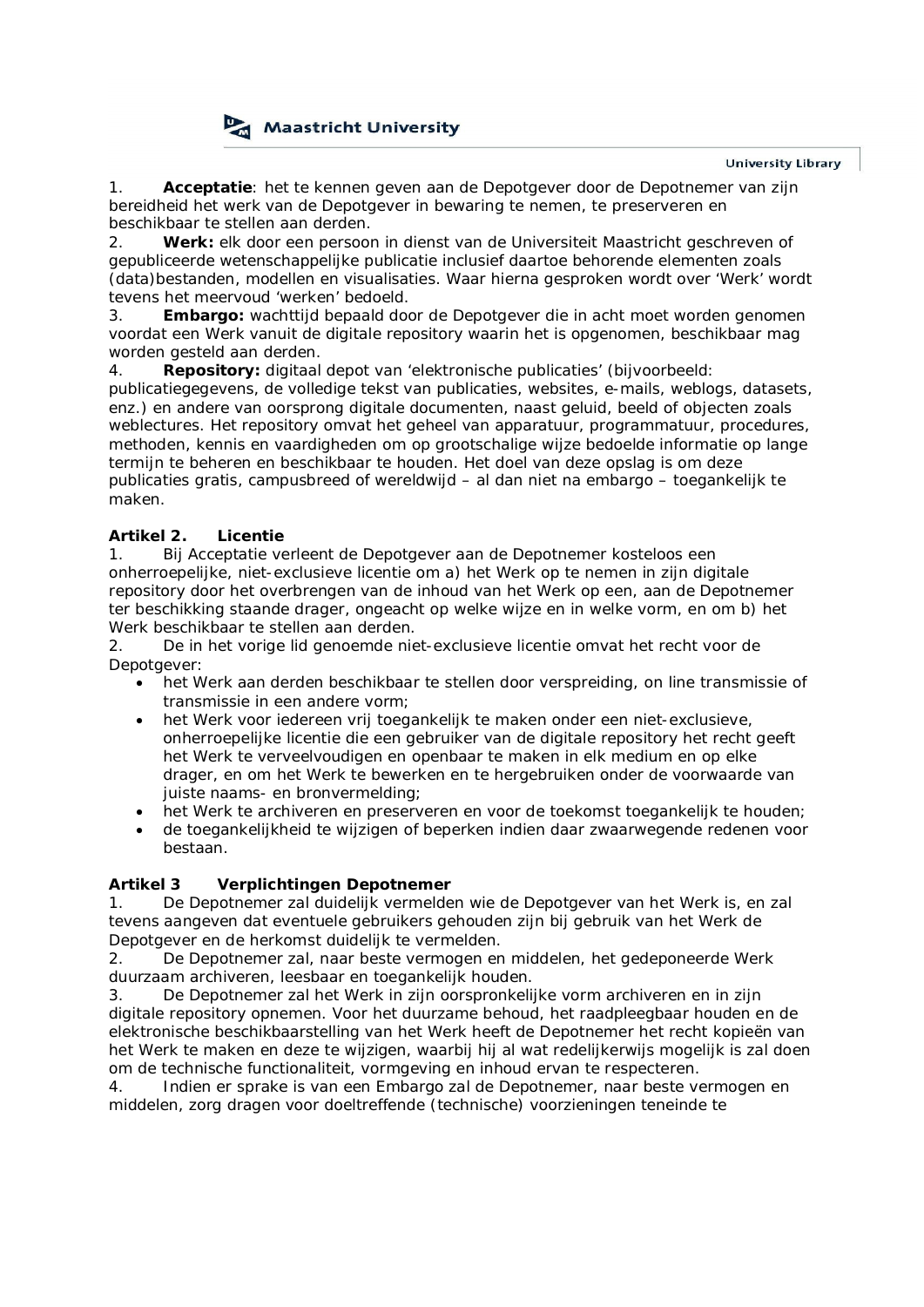

1. **Acceptatie**: het te kennen geven aan de Depotgever door de Depotnemer van zijn bereidheid het werk van de Depotgever in bewaring te nemen, te preserveren en beschikbaar te stellen aan derden.

2. **Werk:** elk door een persoon in dienst van de Universiteit Maastricht geschreven of gepubliceerde wetenschappelijke publicatie inclusief daartoe behorende elementen zoals (data)bestanden, modellen en visualisaties. Waar hierna gesproken wordt over 'Werk' wordt tevens het meervoud 'werken' bedoeld.

3. **Embargo:** wachttijd bepaald door de Depotgever die in acht moet worden genomen voordat een Werk vanuit de digitale repository waarin het is opgenomen, beschikbaar mag worden gesteld aan derden.

4. **Repository:** digitaal depot van 'elektronische publicaties' (bijvoorbeeld: publicatiegegevens, de volledige tekst van publicaties, websites, e-mails, weblogs, datasets, enz.) en andere van oorsprong digitale documenten, naast geluid, beeld of objecten zoals weblectures. Het repository omvat het geheel van apparatuur, programmatuur, procedures, methoden, kennis en vaardigheden om op grootschalige wijze bedoelde informatie op lange termijn te beheren en beschikbaar te houden. Het doel van deze opslag is om deze publicaties gratis, campusbreed of wereldwijd – al dan niet na embargo – toegankelijk te maken.

## **Artikel 2. Licentie**

1. Bij Acceptatie verleent de Depotgever aan de Depotnemer kosteloos een onherroepelijke, niet-exclusieve licentie om a) het Werk op te nemen in zijn digitale repository door het overbrengen van de inhoud van het Werk op een, aan de Depotnemer ter beschikking staande drager, ongeacht op welke wijze en in welke vorm, en om b) het Werk beschikbaar te stellen aan derden.

2. De in het vorige lid genoemde niet-exclusieve licentie omvat het recht voor de Depotgever:

- het Werk aan derden beschikbaar te stellen door verspreiding, on line transmissie of transmissie in een andere vorm;
- het Werk voor iedereen vrij toegankelijk te maken onder een niet-exclusieve. onherroepelijke licentie die een gebruiker van de digitale repository het recht geeft het Werk te verveelvoudigen en openbaar te maken in elk medium en op elke drager, en om het Werk te bewerken en te hergebruiken onder de voorwaarde van juiste naams- en bronvermelding;
- het Werk te archiveren en preserveren en voor de toekomst toegankelijk te houden;
- · de toegankelijkheid te wijzigen of beperken indien daar zwaarwegende redenen voor bestaan.

# **Artikel 3 Verplichtingen Depotnemer**

1. De Depotnemer zal duidelijk vermelden wie de Depotgever van het Werk is, en zal tevens aangeven dat eventuele gebruikers gehouden zijn bij gebruik van het Werk de Depotgever en de herkomst duidelijk te vermelden.

2. De Depotnemer zal, naar beste vermogen en middelen, het gedeponeerde Werk duurzaam archiveren, leesbaar en toegankelijk houden.

3. De Depotnemer zal het Werk in zijn oorspronkelijke vorm archiveren en in zijn digitale repository opnemen. Voor het duurzame behoud, het raadpleegbaar houden en de elektronische beschikbaarstelling van het Werk heeft de Depotnemer het recht kopieën van het Werk te maken en deze te wijzigen, waarbij hij al wat redelijkerwijs mogelijk is zal doen om de technische functionaliteit, vormgeving en inhoud ervan te respecteren.

4. Indien er sprake is van een Embargo zal de Depotnemer, naar beste vermogen en middelen, zorg dragen voor doeltreffende (technische) voorzieningen teneinde te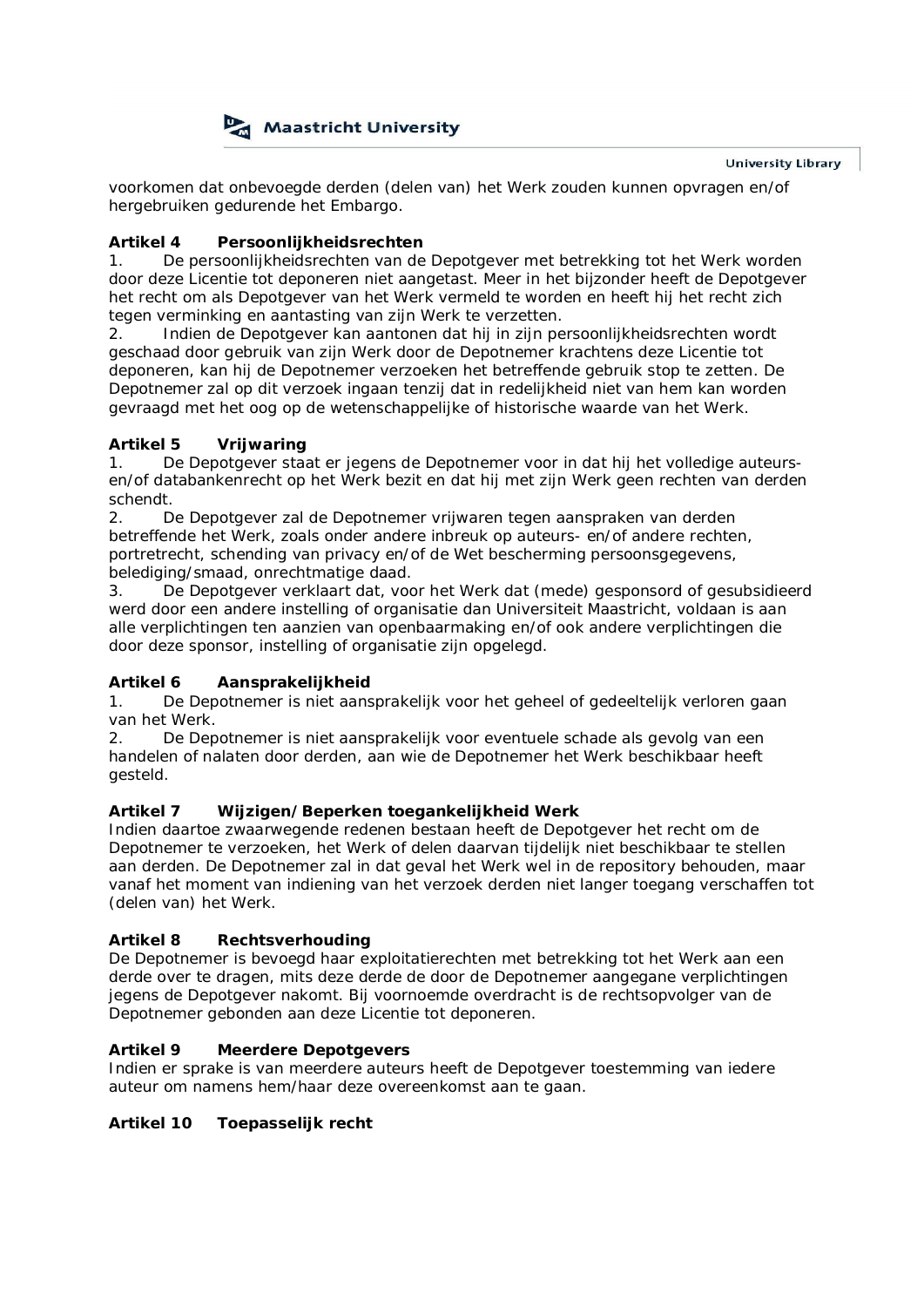

voorkomen dat onbevoegde derden (delen van) het Werk zouden kunnen opvragen en/of hergebruiken gedurende het Embargo.

# **Artikel 4 Persoonlijkheidsrechten**

1. De persoonlijkheidsrechten van de Depotgever met betrekking tot het Werk worden door deze Licentie tot deponeren niet aangetast. Meer in het bijzonder heeft de Depotgever het recht om als Depotgever van het Werk vermeld te worden en heeft hij het recht zich tegen verminking en aantasting van zijn Werk te verzetten.

2. Indien de Depotgever kan aantonen dat hij in zijn persoonlijkheidsrechten wordt geschaad door gebruik van zijn Werk door de Depotnemer krachtens deze Licentie tot deponeren, kan hij de Depotnemer verzoeken het betreffende gebruik stop te zetten. De Depotnemer zal op dit verzoek ingaan tenzij dat in redelijkheid niet van hem kan worden gevraagd met het oog op de wetenschappelijke of historische waarde van het Werk.

# **Artikel 5 Vrijwaring**

1. De Depotgever staat er jegens de Depotnemer voor in dat hij het volledige auteursen/of databankenrecht op het Werk bezit en dat hij met zijn Werk geen rechten van derden schendt.

2. De Depotgever zal de Depotnemer vrijwaren tegen aanspraken van derden betreffende het Werk, zoals onder andere inbreuk op auteurs- en/of andere rechten, portretrecht, schending van privacy en/of de Wet bescherming persoonsgegevens, belediging/smaad, onrechtmatige daad.

3. De Depotgever verklaart dat, voor het Werk dat (mede) gesponsord of gesubsidieerd werd door een andere instelling of organisatie dan Universiteit Maastricht, voldaan is aan alle verplichtingen ten aanzien van openbaarmaking en/of ook andere verplichtingen die door deze sponsor, instelling of organisatie zijn opgelegd.

# **Artikel 6 Aansprakelijkheid**

1. De Depotnemer is niet aansprakelijk voor het geheel of gedeeltelijk verloren gaan van het Werk.

2. De Depotnemer is niet aansprakelijk voor eventuele schade als gevolg van een handelen of nalaten door derden, aan wie de Depotnemer het Werk beschikbaar heeft gesteld.

# **Artikel 7 Wijzigen/Beperken toegankelijkheid Werk**

Indien daartoe zwaarwegende redenen bestaan heeft de Depotgever het recht om de Depotnemer te verzoeken, het Werk of delen daarvan tijdelijk niet beschikbaar te stellen aan derden. De Depotnemer zal in dat geval het Werk wel in de repository behouden, maar vanaf het moment van indiening van het verzoek derden niet langer toegang verschaffen tot (delen van) het Werk.

# **Artikel 8 Rechtsverhouding**

De Depotnemer is bevoegd haar exploitatierechten met betrekking tot het Werk aan een derde over te dragen, mits deze derde de door de Depotnemer aangegane verplichtingen jegens de Depotgever nakomt. Bij voornoemde overdracht is de rechtsopvolger van de Depotnemer gebonden aan deze Licentie tot deponeren.

# **Artikel 9 Meerdere Depotgevers**

Indien er sprake is van meerdere auteurs heeft de Depotgever toestemming van iedere auteur om namens hem/haar deze overeenkomst aan te gaan.

**Artikel 10 Toepasselijk recht**